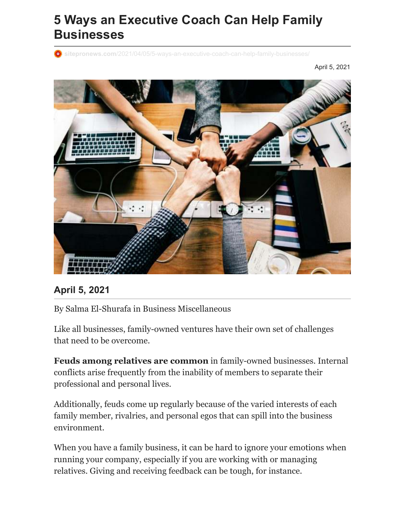# **5 Ways an Executive Coach Can Help Family Businesses**

**O** sitepronews.com[/2021/04/05/5-ways-an-executive-coach-can-help-family-businesses/](https://www.sitepronews.com/2021/04/05/5-ways-an-executive-coach-can-help-family-businesses/)

April 5, 2021



#### **April 5, 2021**

By [Salma El-Shurafa](https://www.sitepronews.com/author/salma-el-shurafa/) in [Business](https://www.sitepronews.com/category/articles/business/) [Miscellaneous](https://www.sitepronews.com/category/articles/miscellaneous/)

Like all businesses, family-owned ventures have their own set of challenges that need to be overcome.

**Feuds among relatives are common** in family-owned businesses. Internal conflicts arise frequently from the inability of members to separate their professional and personal lives.

Additionally, feuds come up regularly because of the varied interests of each family member, rivalries, and personal egos that can spill into the business environment.

When you have a family business, it can be hard to ignore your emotions when running your company, especially if you are working with or managing relatives. Giving and receiving feedback can be tough, for instance.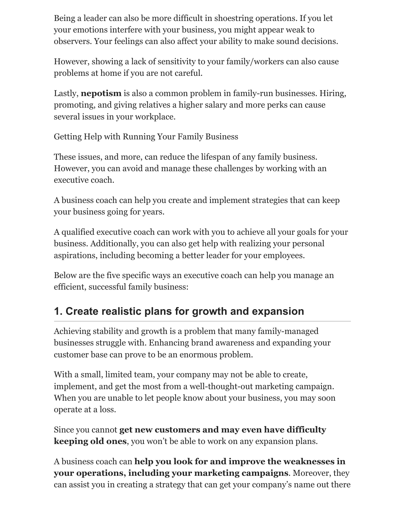Being a leader can also be more difficult in shoestring operations. If you let your emotions interfere with your business, you might appear weak to observers. Your feelings can also affect your ability to make sound decisions.

However, showing a lack of sensitivity to your family/workers can also cause problems at home if you are not careful.

Lastly, **nepotism** is also a common problem in family-run businesses. Hiring, promoting, and giving relatives a higher salary and more perks can cause several issues in your workplace.

Getting Help with Running Your Family Business

These issues, and more, can reduce the lifespan of any family business. However, you can avoid and manage these challenges by working with an executive coach.

[A business coach](https://pathwayproject.ae/services/) can help you create and implement strategies that can keep your business going for years.

A qualified executive coach can work with you to achieve all your goals for your business. Additionally, you can also get help with realizing your personal aspirations, including becoming a better leader for your employees.

Below are the five specific ways an executive coach can help you manage an efficient, successful family business:

#### **1. Create realistic plans for growth and expansion**

Achieving stability and growth is a problem that many family-managed businesses struggle with. Enhancing brand awareness and expanding your customer base can prove to be an enormous problem.

With a small, limited team, your company may not be able to create, implement, and get the most from a well-thought-out marketing campaign. When you are unable to let people know about your business, you may soon operate at a loss.

Since you cannot **get new customers and may even have difficulty keeping old ones**, you won't be able to work on any expansion plans.

A business coach can **help you look for and improve the weaknesses in your operations, including your marketing campaigns**. Moreover, they can assist you in creating a strategy that can get your company's name out there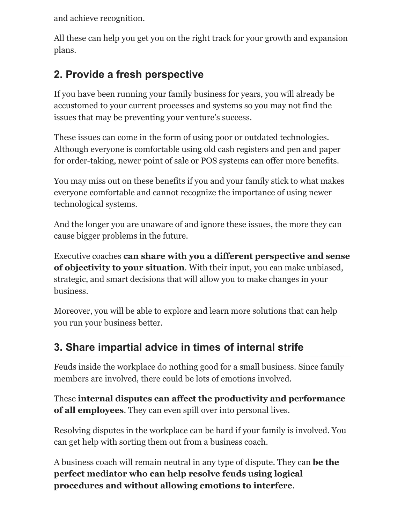and achieve recognition.

All these can help you get you on the right track for your growth and expansion plans.

## **2. Provide a fresh perspective**

If you have been running your family business for years, you will already be accustomed to your current processes and systems so you may not find the issues that may be preventing your venture's success.

These issues can come in the form of using poor or outdated technologies. Although everyone is comfortable using old cash registers and pen and paper for order-taking, newe[r point of sale or POS systems](https://ipadpos.me/why-choose-a-cloud-based-point-of-sale/) can offer more benefits.

You may miss out on these benefits if you and your family stick to what makes everyone comfortable and cannot recognize the importance of using newer technological systems.

And the longer you are unaware of and ignore these issues, the more they can cause bigger problems in the future.

Executive coaches **can share with you a different perspective and sense of objectivity to your situation**. With their input, you can make unbiased, strategic, and smart decisions that will allow you to make changes in your business.

Moreover, you will be able to explore and learn more solutions that can help you run your business better.

## **3. Share impartial advice in times of internal strife**

Feuds inside the workplace do nothing good for a small business. Since family members are involved, there could be lots of emotions involved.

These **internal disputes can affect the productivity and performance of all employees**. They can even spill over into personal lives.

Resolving disputes in the workplace can be hard if your family is involved. You can get help with sorting them out from a business coach.

A business coach will remain neutral in any type of dispute. They can **be the perfect mediator who can help resolve feuds using logical procedures and without allowing emotions to interfere**.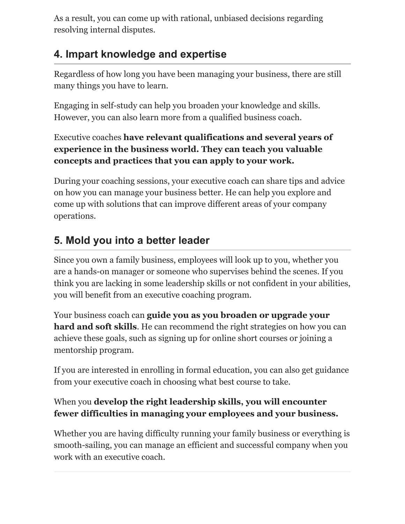As a result, you can come up with rational, unbiased decisions regarding resolving internal disputes.

#### **4. Impart knowledge and expertise**

Regardless of how long you have been managing your business, there are still many things you have to learn.

Engaging in self-study can help you broaden your knowledge and skills. However, you can also learn more from a qualified business coach.

#### Executive coaches **have relevant qualifications and several years of experience in the business world. They can teach you valuable concepts and practices that you can apply to your work.**

During your coaching sessions, your executive coach can share tips and advice on how you can manage your business better. He can help you explore and come up with solutions that can improve different areas of your company operations.

# **5. Mold you into a better leader**

Since you own a family business, employees will look up to you, whether you are a hands-on manager or someone who supervises behind the scenes. If you think you are lacking in some leadership skills or not confident in your abilities, you will benefit from an executive coaching program.

Your business coach can **guide you as you broaden or upgrade your hard and soft skills**. He can recommend the right strategies on how you can achieve these goals, such as signing up for online short courses or joining a mentorship program.

If you are interested in enrolling in formal education, you can also get guidance from your executive coach in choosing what best course to take.

#### When you **develop the right leadership skills, you will encounter fewer difficulties in managing your employees and your business.**

Whether you are having difficulty running your family business or everything is smooth-sailing, you can manage an efficient and successful company when you work with an executive coach.